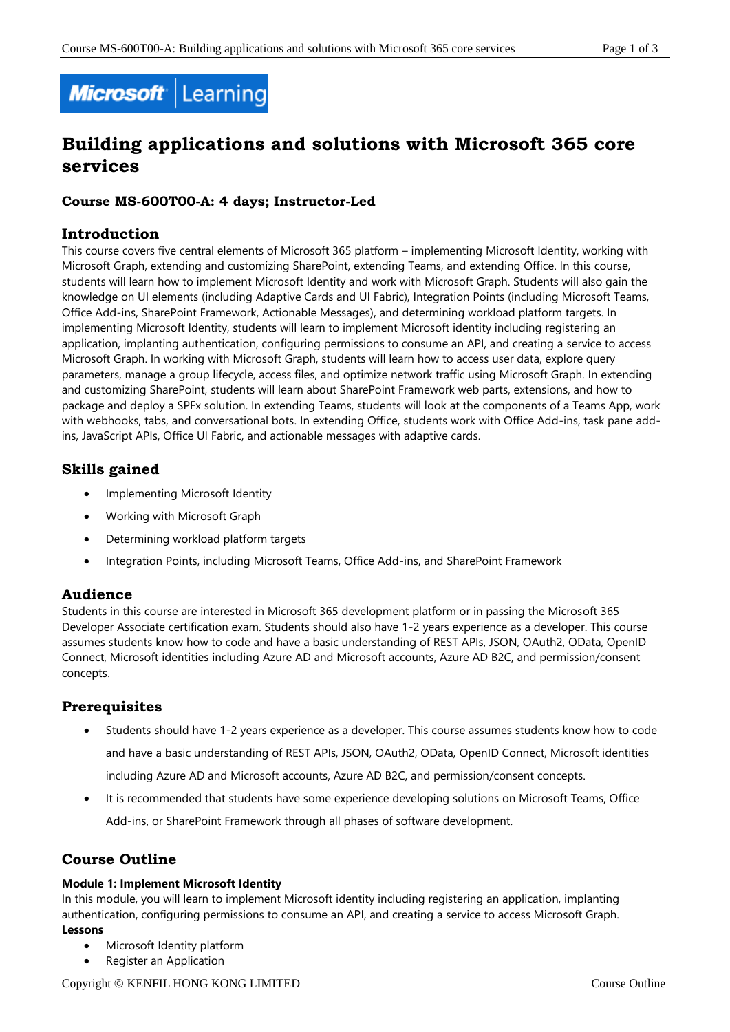

# **Building applications and solutions with Microsoft 365 core services**

# **Course MS-600T00-A: 4 days; Instructor-Led**

# **Introduction**

This course covers five central elements of Microsoft 365 platform – implementing Microsoft Identity, working with Microsoft Graph, extending and customizing SharePoint, extending Teams, and extending Office. In this course, students will learn how to implement Microsoft Identity and work with Microsoft Graph. Students will also gain the knowledge on UI elements (including Adaptive Cards and UI Fabric), Integration Points (including Microsoft Teams, Office Add-ins, SharePoint Framework, Actionable Messages), and determining workload platform targets. In implementing Microsoft Identity, students will learn to implement Microsoft identity including registering an application, implanting authentication, configuring permissions to consume an API, and creating a service to access Microsoft Graph. In working with Microsoft Graph, students will learn how to access user data, explore query parameters, manage a group lifecycle, access files, and optimize network traffic using Microsoft Graph. In extending and customizing SharePoint, students will learn about SharePoint Framework web parts, extensions, and how to package and deploy a SPFx solution. In extending Teams, students will look at the components of a Teams App, work with webhooks, tabs, and conversational bots. In extending Office, students work with Office Add-ins, task pane addins, JavaScript APIs, Office UI Fabric, and actionable messages with adaptive cards.

# **Skills gained**

- Implementing Microsoft Identity
- Working with Microsoft Graph
- Determining workload platform targets
- Integration Points, including Microsoft Teams, Office Add-ins, and SharePoint Framework

## **Audience**

Students in this course are interested in Microsoft 365 development platform or in passing the Microsoft 365 Developer Associate certification exam. Students should also have 1-2 years experience as a developer. This course assumes students know how to code and have a basic understanding of REST APIs, JSON, OAuth2, OData, OpenID Connect, Microsoft identities including Azure AD and Microsoft accounts, Azure AD B2C, and permission/consent concepts.

# **Prerequisites**

- Students should have 1-2 years experience as a developer. This course assumes students know how to code and have a basic understanding of REST APIs, JSON, OAuth2, OData, OpenID Connect, Microsoft identities including Azure AD and Microsoft accounts, Azure AD B2C, and permission/consent concepts.
- It is recommended that students have some experience developing solutions on Microsoft Teams, Office Add-ins, or SharePoint Framework through all phases of software development.

# **Course Outline**

#### **Module 1: Implement Microsoft Identity**

In this module, you will learn to implement Microsoft identity including registering an application, implanting authentication, configuring permissions to consume an API, and creating a service to access Microsoft Graph. **Lessons**

- Microsoft Identity platform
- Register an Application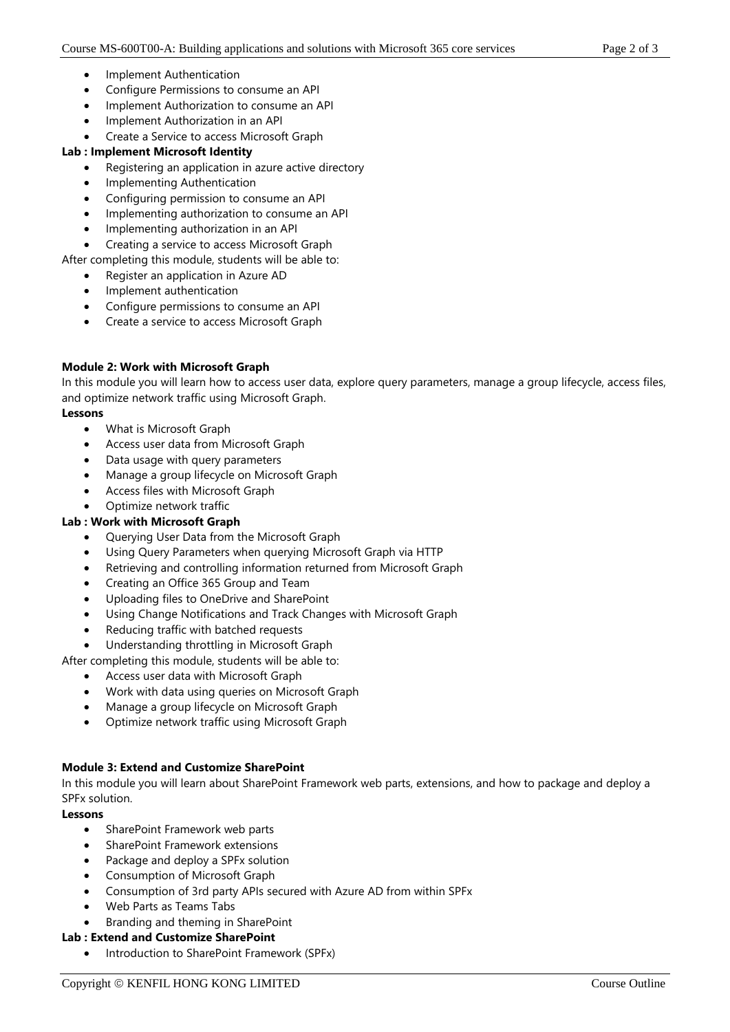- Implement Authentication
- Configure Permissions to consume an API
- Implement Authorization to consume an API
- Implement Authorization in an API
- Create a Service to access Microsoft Graph

#### **Lab : Implement Microsoft Identity**

- Registering an application in azure active directory
- Implementing Authentication
- Configuring permission to consume an API
- Implementing authorization to consume an API
- Implementing authorization in an API
- Creating a service to access Microsoft Graph

After completing this module, students will be able to:

- Register an application in Azure AD
- Implement authentication
- Configure permissions to consume an API
- Create a service to access Microsoft Graph

#### **Module 2: Work with Microsoft Graph**

In this module you will learn how to access user data, explore query parameters, manage a group lifecycle, access files, and optimize network traffic using Microsoft Graph.

#### **Lessons**

- What is Microsoft Graph
- Access user data from Microsoft Graph
- Data usage with query parameters
- Manage a group lifecycle on Microsoft Graph
- Access files with Microsoft Graph
- Optimize network traffic

## **Lab : Work with Microsoft Graph**

- Querying User Data from the Microsoft Graph
- Using Query Parameters when querying Microsoft Graph via HTTP
- Retrieving and controlling information returned from Microsoft Graph
- Creating an Office 365 Group and Team
- Uploading files to OneDrive and SharePoint
- Using Change Notifications and Track Changes with Microsoft Graph
- Reducing traffic with batched requests

Understanding throttling in Microsoft Graph

After completing this module, students will be able to:

- Access user data with Microsoft Graph
- Work with data using queries on Microsoft Graph
- Manage a group lifecycle on Microsoft Graph
- Optimize network traffic using Microsoft Graph

#### **Module 3: Extend and Customize SharePoint**

In this module you will learn about SharePoint Framework web parts, extensions, and how to package and deploy a SPFx solution.

#### **Lessons**

- SharePoint Framework web parts
- SharePoint Framework extensions
- Package and deploy a SPFx solution
- Consumption of Microsoft Graph
- Consumption of 3rd party APIs secured with Azure AD from within SPFx
- Web Parts as Teams Tabs
- Branding and theming in SharePoint

#### **Lab : Extend and Customize SharePoint**

• Introduction to SharePoint Framework (SPFx)